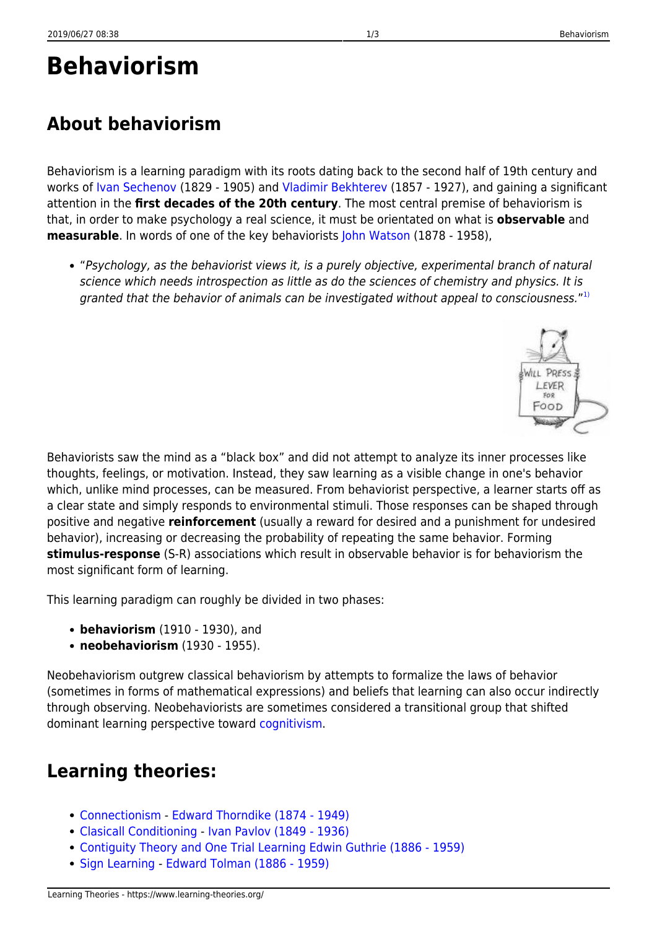# **Behaviorism**

## **About behaviorism**

Behaviorism is a learning paradigm with its roots dating back to the second half of 19th century and works of [Ivan Sechenov](http://en.wikipedia.org/wiki/Ivan_Sechenov) (1829 - 1905) and [Vladimir Bekhterev](http://en.wikipedia.org/wiki/Vladimir_Bekhterev) (1857 - 1927), and gaining a significant attention in the **first decades of the 20th century**. The most central premise of behaviorism is that, in order to make psychology a real science, it must be orientated on what is **observable** and **measurable**. In words of one of the key behaviorists [John Watson](http://en.wikipedia.org/wiki/John_B._Watson) (1878 - 1958),

"Psychology, as the behaviorist views it, is a purely objective, experimental branch of natural science which needs introspection as little as do the sciences of chemistry and physics. It is granted that the behavior of animals can be investigated without appeal to consciousness."  $^{\text{1}}$ 

Behaviorists saw the mind as a "black box" and did not attempt to analyze its inner processes like thoughts, feelings, or motivation. Instead, they saw learning as a visible change in one's behavior which, unlike mind processes, can be measured. From behaviorist perspective, a learner starts off as a clear state and simply responds to environmental stimuli. Those responses can be shaped through positive and negative **reinforcement** (usually a reward for desired and a punishment for undesired behavior), increasing or decreasing the probability of repeating the same behavior. Forming **stimulus-response** (S-R) associations which result in observable behavior is for behaviorism the most significant form of learning.

This learning paradigm can roughly be divided in two phases:

- **behaviorism** (1910 1930), and
- **neobehaviorism** (1930 1955).

Neobehaviorism outgrew classical behaviorism by attempts to formalize the laws of behavior (sometimes in forms of mathematical expressions) and beliefs that learning can also occur indirectly through observing. Neobehaviorists are sometimes considered a transitional group that shifted dominant learning perspective toward [cognitivism](https://www.learning-theories.org/doku.php?id=learning_paradigms:cognitivism).

### **Learning theories:**

- [Connectionism](https://www.learning-theories.org/doku.php?id=learning_theories:connectionism) [Edward Thorndike \(1874 1949\)](http://www.muskingum.edu/~psych/psycweb/history/thorndike.htm)
- [Clasicall Conditioning](https://www.learning-theories.org/doku.php?id=learning_theories:clasicall_conditioning)  [Ivan Pavlov \(1849 1936\)](http://en.wikipedia.org/wiki/Ivan_Pavlov)
- [Contiguity Theory and One Trial Learning](https://www.learning-theories.org/doku.php?id=learning_theories:contiguity_theory_and_one_trial_learning) [Edwin Guthrie \(1886 1959\)](http://www.muskingum.edu/~psych/psycweb/history/guthrie.htm)
- [Sign Learning](https://www.learning-theories.org/doku.php?id=learning_theories:sign_learning) - [Edward Tolman \(1886 1959\)](http://www.muskingum.edu/~psych/psycweb/history/tolman.htm)

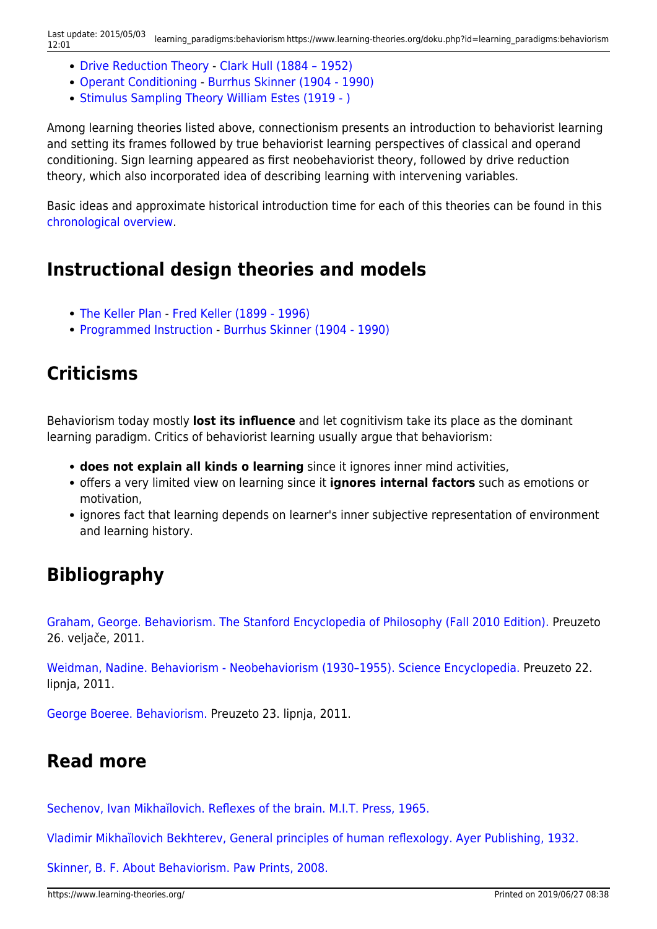- [Drive Reduction Theory](https://www.learning-theories.org/doku.php?id=learning_theories:drive_reduction_theory) - [Clark Hull \(1884 1952\)](http://www.newworldencyclopedia.org/entry/Clark_L._Hull)
- [Operant Conditioning](https://www.learning-theories.org/doku.php?id=learning_theories:operant_conditioning) - [Burrhus Skinner \(1904 1990\)](http://www.bfskinner.org/BFSkinner/AboutSkinner.html)
- [Stimulus Sampling Theory](https://www.learning-theories.org/doku.php?id=learning_theories:stimulus_sampling_theory) [William Estes \(1919 \)](http://en.wikipedia.org/wiki/William_Kaye_Estes)

Among learning theories listed above, connectionism presents an introduction to behaviorist learning and setting its frames followed by true behaviorist learning perspectives of classical and operand conditioning. Sign learning appeared as first neobehaviorist theory, followed by drive reduction theory, which also incorporated idea of describing learning with intervening variables.

Basic ideas and approximate historical introduction time for each of this theories can be found in this [chronological overview.](https://www.learning-theories.org/doku.php?id=learning_paradigms:behaviorism_timeline)

#### **Instructional design theories and models**

- [The Keller Plan](https://www.learning-theories.org/doku.php?id=learning_theories:the_keller_plan) - [Fred Keller \(1899 1996\)](http://en.wikipedia.org/wiki/Fred_S._Keller)
- [Programmed Instruction](https://www.learning-theories.org/doku.php?id=instructional_design:programmed_instruction)  [Burrhus Skinner \(1904 1990\)](http://www.bfskinner.org/BFSkinner/AboutSkinner.html)

#### **Criticisms**

Behaviorism today mostly **lost its influence** and let cognitivism take its place as the dominant learning paradigm. Critics of behaviorist learning usually argue that behaviorism:

- **does not explain all kinds o learning** since it ignores inner mind activities,
- offers a very limited view on learning since it **ignores internal factors** such as emotions or motivation,
- ignores fact that learning depends on learner's inner subjective representation of environment and learning history.

#### **Bibliography**

[Graham, George. Behaviorism. The Stanford Encyclopedia of Philosophy \(Fall 2010 Edition\).](http://plato.stanford.edu/entries/behaviorism/) Preuzeto 26. veljače, 2011.

[Weidman, Nadine. Behaviorism - Neobehaviorism \(1930–1955\). Science Encyclopedia.](http://science.jrank.org/pages/8448/Behaviorism-Neobehaviorism-1930-1955.html) Preuzeto 22. lipnja, 2011.

[George Boeree. Behaviorism.](http://webspace.ship.edu/cgboer/beh.html) Preuzeto 23. lipnja, 2011.

#### **Read more**

[Sechenov, Ivan Mikhaĭlovich. Reflexes of the brain. M.I.T. Press, 1965.](http://books.google.hr/books?id=fdJqAAAAMAAJ&dq=Reflexes of the brain inauthor:%22Ivan Mikhaĭlovich Sechenov%22&source=gbs_similarbooks)

[Vladimir Mikhaĭlovich Bekhterev, General principles of human reflexology. Ayer Publishing, 1932.](http://books.google.hr/books?id=XqZEfU22934C&printsec=frontcover#v=onepage&q&f=false)

[Skinner, B. F. About Behaviorism. Paw Prints, 2008.](http://books.google.hr/books?id=j1acPwAACAAJ&dq=Skinner,+B.+F.+About+Behaviorism&hl=hr&ei=Aa1rTZK1IMao8QPp6czyBw&sa=X&oi=book_result&ct=result&resnum=1&ved=0CCcQ6AEwAA)